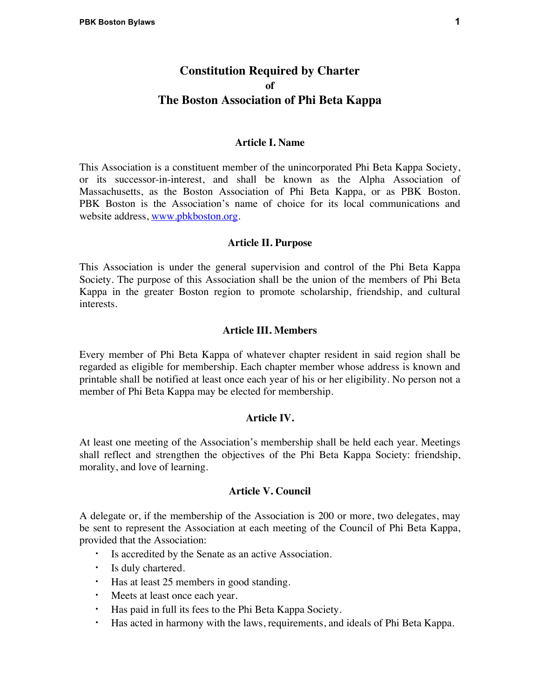# **Constitution Required by Charter of The Boston Association of Phi Beta Kappa**

### **Article I. Name**

This Association is a constituent member of the unincorporated Phi Beta Kappa Society, or its successor-in-interest, and shall be known as the Alpha Association of Massachusetts, as the Boston Association of Phi Beta Kappa, or as PBK Boston. PBK Boston is the Association's name of choice for its local communications and website address, www.pbkboston.org.

# **Article II. Purpose**

This Association is under the general supervision and control of the Phi Beta Kappa Society. The purpose of this Association shall be the union of the members of Phi Beta Kappa in the greater Boston region to promote scholarship, friendship, and cultural interests.

### **Article III. Members**

Every member of Phi Beta Kappa of whatever chapter resident in said region shall be regarded as eligible for membership. Each chapter member whose address is known and printable shall be notified at least once each year of his or her eligibility. No person not a member of Phi Beta Kappa may be elected for membership.

#### **Article IV.**

At least one meeting of the Association's membership shall be held each year. Meetings shall reflect and strengthen the objectives of the Phi Beta Kappa Society: friendship, morality, and love of learning.

# **Article V. Council**

A delegate or, if the membership of the Association is 200 or more, two delegates, may be sent to represent the Association at each meeting of the Council of Phi Beta Kappa, provided that the Association:

- **·** Is accredited by the Senate as an active Association.
- **·** Is duly chartered.
- **·** Has at least 25 members in good standing.
- **·** Meets at least once each year.
- **·** Has paid in full its fees to the Phi Beta Kappa Society.
- **·** Has acted in harmony with the laws, requirements, and ideals of Phi Beta Kappa.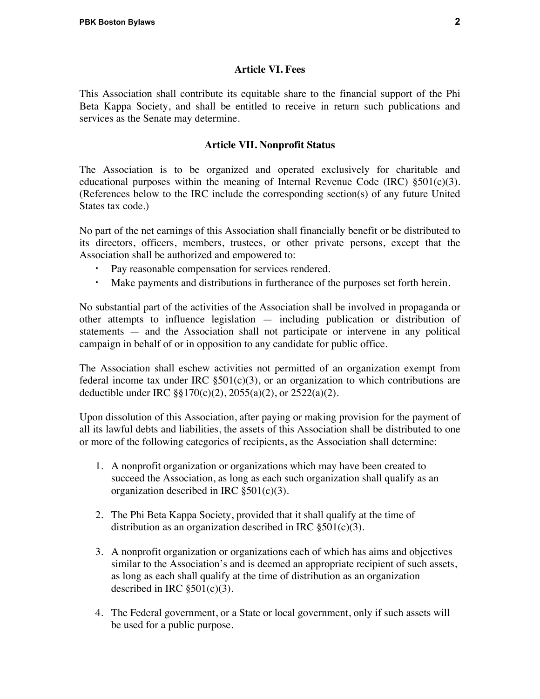### **Article VI. Fees**

This Association shall contribute its equitable share to the financial support of the Phi Beta Kappa Society, and shall be entitled to receive in return such publications and services as the Senate may determine.

# **Article VII. Nonprofit Status**

The Association is to be organized and operated exclusively for charitable and educational purposes within the meaning of Internal Revenue Code (IRC)  $\S 501(c)(3)$ . (References below to the IRC include the corresponding section(s) of any future United States tax code.)

No part of the net earnings of this Association shall financially benefit or be distributed to its directors, officers, members, trustees, or other private persons, except that the Association shall be authorized and empowered to:

- Pay reasonable compensation for services rendered.
- **·** Make payments and distributions in furtherance of the purposes set forth herein.

No substantial part of the activities of the Association shall be involved in propaganda or other attempts to influence legislation — including publication or distribution of statements — and the Association shall not participate or intervene in any political campaign in behalf of or in opposition to any candidate for public office.

The Association shall eschew activities not permitted of an organization exempt from federal income tax under IRC  $\S501(c)(3)$ , or an organization to which contributions are deductible under IRC §§170(c)(2), 2055(a)(2), or 2522(a)(2).

Upon dissolution of this Association, after paying or making provision for the payment of all its lawful debts and liabilities, the assets of this Association shall be distributed to one or more of the following categories of recipients, as the Association shall determine:

- 1. A nonprofit organization or organizations which may have been created to succeed the Association, as long as each such organization shall qualify as an organization described in IRC  $\S 501(c)(3)$ .
- 2. The Phi Beta Kappa Society, provided that it shall qualify at the time of distribution as an organization described in IRC  $\S501(c)(3)$ .
- 3. A nonprofit organization or organizations each of which has aims and objectives similar to the Association's and is deemed an appropriate recipient of such assets, as long as each shall qualify at the time of distribution as an organization described in IRC  $\S501(c)(3)$ .
- 4. The Federal government, or a State or local government, only if such assets will be used for a public purpose.